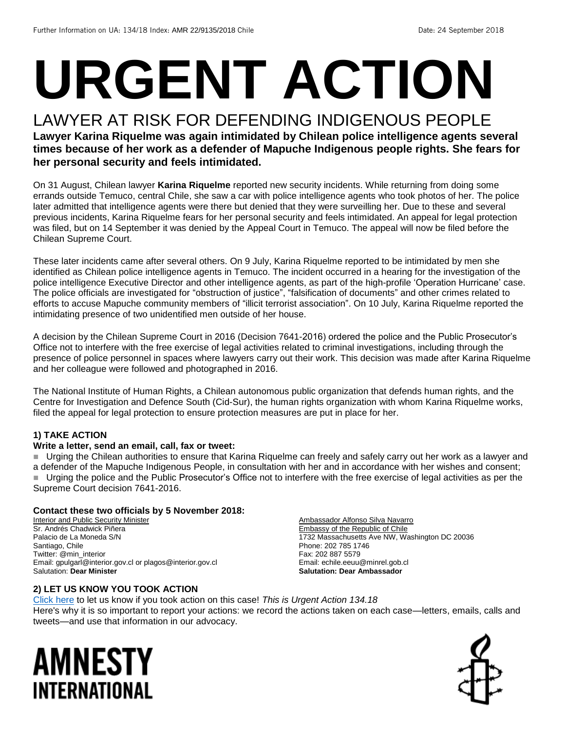# **URGENT ACTION**

### LAWYER AT RISK FOR DEFENDING INDIGENOUS PEOPLE

**Lawyer Karina Riquelme was again intimidated by Chilean police intelligence agents several times because of her work as a defender of Mapuche Indigenous people rights. She fears for her personal security and feels intimidated.**

On 31 August, Chilean lawyer **Karina Riquelme** reported new security incidents. While returning from doing some errands outside Temuco, central Chile, she saw a car with police intelligence agents who took photos of her. The police later admitted that intelligence agents were there but denied that they were surveilling her. Due to these and several previous incidents, Karina Riquelme fears for her personal security and feels intimidated. An appeal for legal protection was filed, but on 14 September it was denied by the Appeal Court in Temuco. The appeal will now be filed before the Chilean Supreme Court.

These later incidents came after several others. On 9 July, Karina Riquelme reported to be intimidated by men she identified as Chilean police intelligence agents in Temuco. The incident occurred in a hearing for the investigation of the police intelligence Executive Director and other intelligence agents, as part of the high-profile 'Operation Hurricane' case. The police officials are investigated for "obstruction of justice", "falsification of documents" and other crimes related to efforts to accuse Mapuche community members of "illicit terrorist association". On 10 July, Karina Riquelme reported the intimidating presence of two unidentified men outside of her house.

A decision by the Chilean Supreme Court in 2016 (Decision 7641-2016) ordered the police and the Public Prosecutor's Office not to interfere with the free exercise of legal activities related to criminal investigations, including through the presence of police personnel in spaces where lawyers carry out their work. This decision was made after Karina Riquelme and her colleague were followed and photographed in 2016.

The National Institute of Human Rights, a Chilean autonomous public organization that defends human rights, and the Centre for Investigation and Defence South (Cid-Sur), the human rights organization with whom Karina Riquelme works, filed the appeal for legal protection to ensure protection measures are put in place for her.

#### **1) TAKE ACTION**

#### **Write a letter, send an email, call, fax or tweet:**

Urging the Chilean authorities to ensure that Karina Riquelme can freely and safely carry out her work as a lawyer and a defender of the Mapuche Indigenous People, in consultation with her and in accordance with her wishes and consent; Urging the police and the Public Prosecutor's Office not to interfere with the free exercise of legal activities as per the Supreme Court decision 7641-2016.

#### **Contact these two officials by 5 November 2018:**

**Interior and Public Security Minister** Sr. Andrés Chadwick Piñera Palacio de La Moneda S/N Santiago, Chile Twitter: @min\_interior Email: gpulgarl@interior.gov.cl or plagos@interior.gov.cl Salutation: **Dear Minister**

#### **2) LET US KNOW YOU TOOK ACTION**

Ambassador Alfonso Silva Navarro Embassy of the Republic of Chile 1732 Massachusetts Ave NW, Washington DC 20036 Phone: 202 785 1746 Fax: 202 887 5579 Email: echile.eeuu@minrel.gob.cl **Salutation: Dear Ambassador**

[Click here](https://www.amnestyusa.org/report-urgent-actions/) to let us know if you took action on this case! *This is Urgent Action 134.18* Here's why it is so important to report your actions: we record the actions taken on each case—letters, emails, calls and tweets—and use that information in our advocacy.